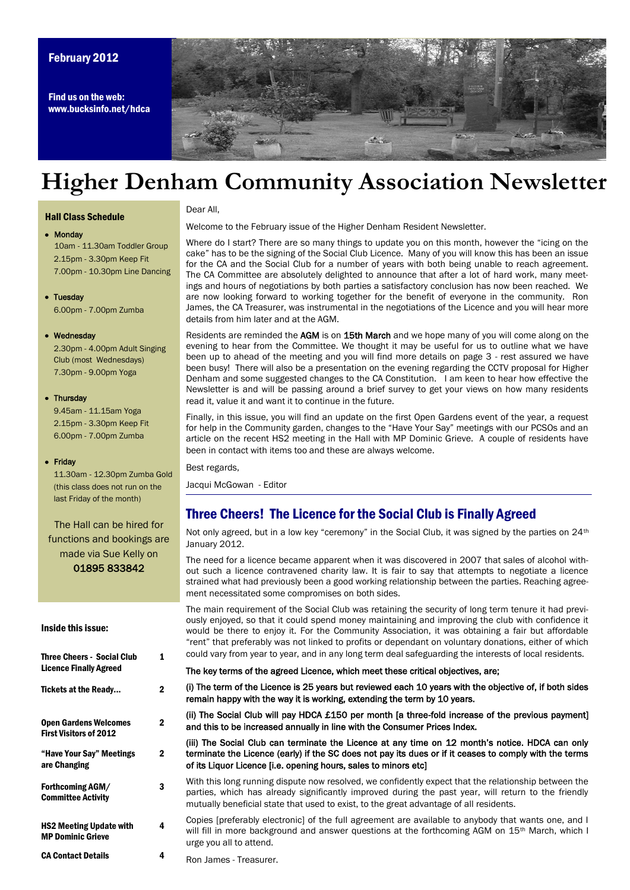## February 2012

Find us on the web: www.bucksinfo.net/hdca



# **Higher Denham Community Association Newsletter**

#### Hall Class Schedule

# Monday

10am - 11.30am Toddler Group 2.15pm - 3.30pm Keep Fit 7.00pm - 10.30pm Line Dancing

## • Tuesday 6.00pm - 7.00pm Zumba

• Wednesday

2.30pm - 4.00pm Adult Singing Club (most Wednesdays) 7.30pm - 9.00pm Yoga

#### • Thursday

 9.45am - 11.15am Yoga 2.15pm - 3.30pm Keep Fit 6.00pm - 7.00pm Zumba

#### • Friday

 11.30am - 12.30pm Zumba Gold (this class does not run on the last Friday of the month)

The Hall can be hired for functions and bookings are made via Sue Kelly on 01895 833842

#### Inside this issue:

| <b>Three Cheers - Social Club</b><br><b>Licence Finally Agreed</b> | 1              | rent" that preferably was not linked to profits or dependant on voluntary donations, either of whic"<br>could vary from year to year, and in any long term deal safeguarding the interests of local residents.                                                                                     |
|--------------------------------------------------------------------|----------------|----------------------------------------------------------------------------------------------------------------------------------------------------------------------------------------------------------------------------------------------------------------------------------------------------|
|                                                                    |                | The key terms of the agreed Licence, which meet these critical objectives, are:                                                                                                                                                                                                                    |
| Tickets at the Ready                                               | 2              | (i) The term of the Licence is 25 years but reviewed each 10 years with the objective of, if both side<br>remain happy with the way it is working, extending the term by 10 years.                                                                                                                 |
| <b>Open Gardens Welcomes</b><br><b>First Visitors of 2012</b>      | $\mathbf{2}$   | (ii) The Social Club will pay HDCA £150 per month [a three-fold increase of the previous paymen<br>and this to be increased annually in line with the Consumer Prices Index.                                                                                                                       |
| "Have Your Say" Meetings<br>are Changing                           | $\overline{2}$ | (iii) The Social Club can terminate the Licence at any time on 12 month's notice. HDCA can on<br>terminate the Licence (early) if the SC does not pay its dues or if it ceases to comply with the term<br>of its Liquor Licence [i.e. opening hours, sales to minors etc]                          |
| Forthcoming AGM/<br><b>Committee Activity</b>                      | 3              | With this long running dispute now resolved, we confidently expect that the relationship between th<br>parties, which has already significantly improved during the past year, will return to the friend<br>mutually beneficial state that used to exist, to the great advantage of all residents. |
| <b>HS2 Meeting Update with</b><br><b>MP Dominic Grieve</b>         | 4              | Copies (preferably electronic) of the full agreement are available to anybody that wants one, and<br>will fill in more background and answer questions at the forthcoming AGM on 15 <sup>th</sup> March, which<br>urge you all to attend.                                                          |
| <b>CA Contact Details</b>                                          | 4              | <b>Don James Tropeurer</b>                                                                                                                                                                                                                                                                         |

## Dear All,

Welcome to the February issue of the Higher Denham Resident Newsletter.

Where do I start? There are so many things to update you on this month, however the "icing on the cake" has to be the signing of the Social Club Licence. Many of you will know this has been an issue for the CA and the Social Club for a number of years with both being unable to reach agreement. The CA Committee are absolutely delighted to announce that after a lot of hard work, many meetings and hours of negotiations by both parties a satisfactory conclusion has now been reached. We are now looking forward to working together for the benefit of everyone in the community. Ron James, the CA Treasurer, was instrumental in the negotiations of the Licence and you will hear more details from him later and at the AGM.

Residents are reminded the AGM is on 15th March and we hope many of you will come along on the evening to hear from the Committee. We thought it may be useful for us to outline what we have been up to ahead of the meeting and you will find more details on page 3 - rest assured we have been busy! There will also be a presentation on the evening regarding the CCTV proposal for Higher Denham and some suggested changes to the CA Constitution. I am keen to hear how effective the Newsletter is and will be passing around a brief survey to get your views on how many residents read it, value it and want it to continue in the future.

Finally, in this issue, you will find an update on the first Open Gardens event of the year, a request for help in the Community garden, changes to the "Have Your Say" meetings with our PCSOs and an article on the recent HS2 meeting in the Hall with MP Dominic Grieve. A couple of residents have been in contact with items too and these are always welcome.

### Best regards,

Jacqui McGowan - Editor

# Three Cheers! The Licence for the Social Club is Finally Agreed

Not only agreed, but in a low key "ceremony" in the Social Club, it was signed by the parties on  $24<sup>th</sup>$ January 2012.

The need for a licence became apparent when it was discovered in 2007 that sales of alcohol without such a licence contravened charity law. It is fair to say that attempts to negotiate a licence strained what had previously been a good working relationship between the parties. Reaching agreement necessitated some compromises on both sides.

The main requirement of the Social Club was retaining the security of long term tenure it had previously enjoyed, so that it could spend money maintaining and improving the club with confidence it would be there to enjoy it. For the Community Association, it was obtaining a fair but affordable ―rent‖ that preferably was not linked to profits or dependant on voluntary donations, either of which

Ron James - Treasurer.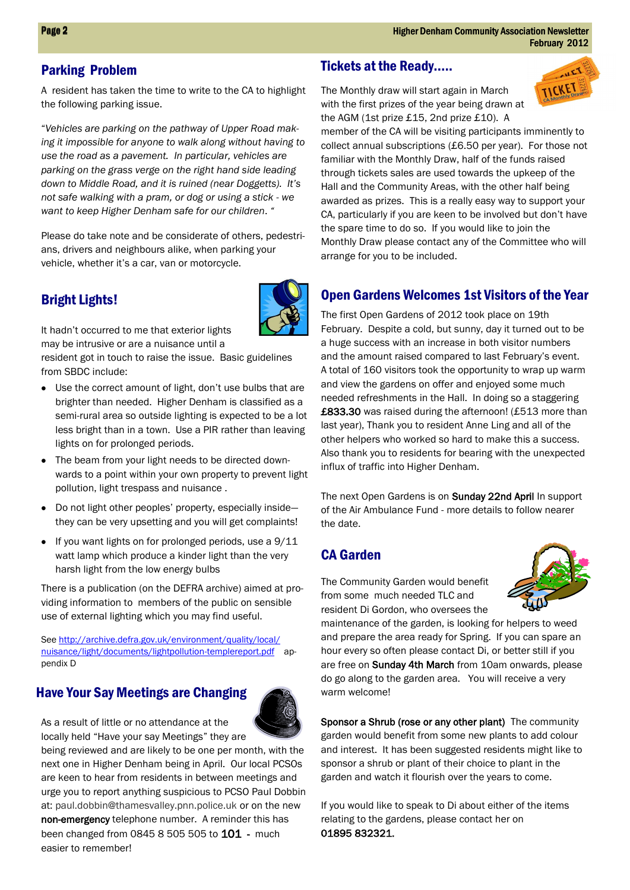# Parking Problem

A resident has taken the time to write to the CA to highlight the following parking issue.

―*Vehicles are parking on the pathway of Upper Road making it impossible for anyone to walk along without having to use the road as a pavement. In particular, vehicles are parking on the grass verge on the right hand side leading down to Middle Road, and it is ruined (near Doggetts). It's not safe walking with a pram, or dog or using a stick - we want to keep Higher Denham safe for our children*. *"* 

Please do take note and be considerate of others, pedestrians, drivers and neighbours alike, when parking your vehicle, whether it's a car, van or motorcycle.

# Bright Lights!



It hadn't occurred to me that exterior lights

may be intrusive or are a nuisance until a resident got in touch to raise the issue. Basic guidelines

from SBDC include:

- Use the correct amount of light, don't use bulbs that are brighter than needed. Higher Denham is classified as a semi-rural area so outside lighting is expected to be a lot less bright than in a town. Use a PIR rather than leaving lights on for prolonged periods.
- The beam from your light needs to be directed downwards to a point within your own property to prevent light pollution, light trespass and nuisance .
- Do not light other peoples' property, especially inside they can be very upsetting and you will get complaints!
- $\bullet$  If you want lights on for prolonged periods, use a  $9/11$ watt lamp which produce a kinder light than the very harsh light from the low energy bulbs

There is a publication (on the DEFRA archive) aimed at providing information to members of the public on sensible use of external lighting which you may find useful.

See [http://archive.defra.gov.uk/environment/quality/local/](http://archive.defra.gov.uk/environment/quality/local/nuisance/light/documents/lightpollution-templereport.pdf) [nuisance/light/documents/lightpollution-templereport.pdf](http://archive.defra.gov.uk/environment/quality/local/nuisance/light/documents/lightpollution-templereport.pdf) appendix D

# Have Your Say Meetings are Changing



As a result of little or no attendance at the locally held "Have your say Meetings" they are

 easier to remember! being reviewed and are likely to be one per month, with the next one in Higher Denham being in April. Our local PCSOs are keen to hear from residents in between meetings and urge you to report anything suspicious to PCSO Paul Dobbin at: paul.dobbin@thamesvalley.pnn.police.uk or on the new non-emergency telephone number. A reminder this has been changed from 0845 8 505 505 to 101 - much

# Tickets at the Ready…..

The Monthly draw will start again in March with the first prizes of the year being drawn at the AGM (1st prize £15, 2nd prize £10). A



member of the CA will be visiting participants imminently to collect annual subscriptions (£6.50 per year). For those not familiar with the Monthly Draw, half of the funds raised through tickets sales are used towards the upkeep of the Hall and the Community Areas, with the other half being awarded as prizes. This is a really easy way to support your CA, particularly if you are keen to be involved but don't have the spare time to do so. If you would like to join the Monthly Draw please contact any of the Committee who will arrange for you to be included.

# Open Gardens Welcomes 1st Visitors of the Year

The first Open Gardens of 2012 took place on 19th February. Despite a cold, but sunny, day it turned out to be a huge success with an increase in both visitor numbers and the amount raised compared to last February's event. A total of 160 visitors took the opportunity to wrap up warm and view the gardens on offer and enjoyed some much needed refreshments in the Hall. In doing so a staggering £833.30 was raised during the afternoon! (£513 more than last year), Thank you to resident Anne Ling and all of the other helpers who worked so hard to make this a success. Also thank you to residents for bearing with the unexpected influx of traffic into Higher Denham.

The next Open Gardens is on Sunday 22nd April In support of the Air Ambulance Fund - more details to follow nearer the date.

# CA Garden



The Community Garden would benefit from some much needed TLC and resident Di Gordon, who oversees the

maintenance of the garden, is looking for helpers to weed and prepare the area ready for Spring. If you can spare an hour every so often please contact Di, or better still if you are free on Sunday 4th March from 10am onwards, please do go along to the garden area. You will receive a very warm welcome!

Sponsor a Shrub (rose or any other plant) The community garden would benefit from some new plants to add colour and interest. It has been suggested residents might like to sponsor a shrub or plant of their choice to plant in the garden and watch it flourish over the years to come.

If you would like to speak to Di about either of the items relating to the gardens, please contact her on 01895 832321.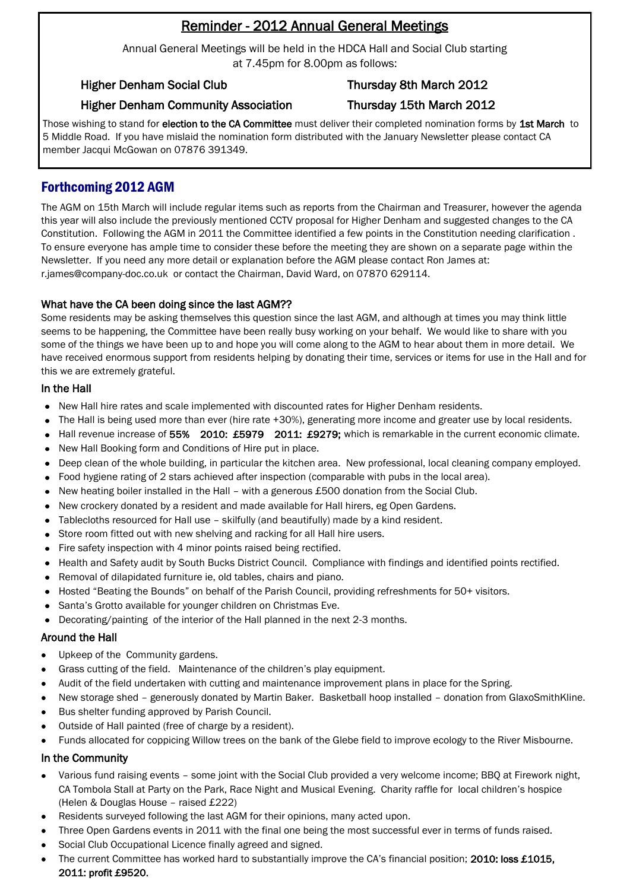# Reminder - 2012 Annual General Meetings

Annual General Meetings will be held in the HDCA Hall and Social Club starting at 7.45pm for 8.00pm as follows:

# Higher Denham Social Club Thursday 8th March 2012

# Higher Denham Community Association Thursday 15th March 2012

Those wishing to stand for election to the CA Committee must deliver their completed nomination forms by 1st March to 5 Middle Road. If you have mislaid the nomination form distributed with the January Newsletter please contact CA member Jacqui McGowan on 07876 391349.

# Forthcoming 2012 AGM

The AGM on 15th March will include regular items such as reports from the Chairman and Treasurer, however the agenda this year will also include the previously mentioned CCTV proposal for Higher Denham and suggested changes to the CA Constitution. Following the AGM in 2011 the Committee identified a few points in the Constitution needing clarification . To ensure everyone has ample time to consider these before the meeting they are shown on a separate page within the Newsletter. If you need any more detail or explanation before the AGM please contact Ron James at: r.james@company-doc.co.uk or contact the Chairman, David Ward, on 07870 629114.

# What have the CA been doing since the last AGM??

Some residents may be asking themselves this question since the last AGM, and although at times you may think little seems to be happening, the Committee have been really busy working on your behalf. We would like to share with you some of the things we have been up to and hope you will come along to the AGM to hear about them in more detail. We have received enormous support from residents helping by donating their time, services or items for use in the Hall and for this we are extremely grateful.

## In the Hall

- New Hall hire rates and scale implemented with discounted rates for Higher Denham residents.
- The Hall is being used more than ever (hire rate +30%), generating more income and greater use by local residents.
- Hall revenue increase of 55% 2010: £5979 2011: £9279; which is remarkable in the current economic climate.
- New Hall Booking form and Conditions of Hire put in place.
- Deep clean of the whole building, in particular the kitchen area. New professional, local cleaning company employed.
- Food hygiene rating of 2 stars achieved after inspection (comparable with pubs in the local area).
- New heating boiler installed in the Hall with a generous £500 donation from the Social Club.
- New crockery donated by a resident and made available for Hall hirers, eg Open Gardens.
- Tablecloths resourced for Hall use skilfully (and beautifully) made by a kind resident.
- Store room fitted out with new shelving and racking for all Hall hire users.
- Fire safety inspection with 4 minor points raised being rectified.
- Health and Safety audit by South Bucks District Council. Compliance with findings and identified points rectified.
- Removal of dilapidated furniture ie, old tables, chairs and piano.
- Hosted "Beating the Bounds" on behalf of the Parish Council, providing refreshments for 50+ visitors.
- Santa's Grotto available for younger children on Christmas Eve.
- Decorating/painting of the interior of the Hall planned in the next 2-3 months.

# Around the Hall

- Upkeep of the Community gardens.
- Grass cutting of the field. Maintenance of the children's play equipment.
- Audit of the field undertaken with cutting and maintenance improvement plans in place for the Spring.
- New storage shed generously donated by Martin Baker. Basketball hoop installed donation from GlaxoSmithKline.
- Bus shelter funding approved by Parish Council.
- Outside of Hall painted (free of charge by a resident).
- Funds allocated for coppicing Willow trees on the bank of the Glebe field to improve ecology to the River Misbourne.  $\bullet$

# In the Community

- Various fund raising events some joint with the Social Club provided a very welcome income; BBQ at Firework night, CA Tombola Stall at Party on the Park, Race Night and Musical Evening. Charity raffle for local children's hospice (Helen & Douglas House – raised £222)
- Residents surveyed following the last AGM for their opinions, many acted upon.
- Three Open Gardens events in 2011 with the final one being the most successful ever in terms of funds raised.
- Î Social Club Occupational Licence finally agreed and signed.
- The current Committee has worked hard to substantially improve the CA's financial position; 2010: loss £1015, 2011: profit £9520.